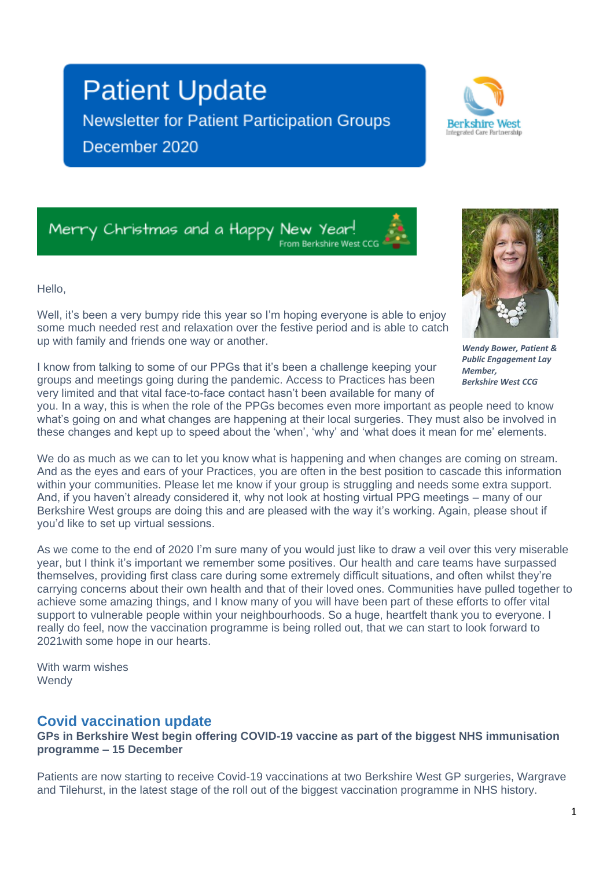# **Patient Update**

up with family and friends one way or another.

**Newsletter for Patient Participation Groups** December 2020

**Berkshire West** 

Merry Christmas and a Happy New Year! From Berkshire West CC

Hello,



*Wendy Bower, Patient & Public Engagement Lay Member, Berkshire West CCG*

I know from talking to some of our PPGs that it's been a challenge keeping your groups and meetings going during the pandemic. Access to Practices has been very limited and that vital face-to-face contact hasn't been available for many of

Well, it's been a very bumpy ride this year so I'm hoping everyone is able to enjoy some much needed rest and relaxation over the festive period and is able to catch

you. In a way, this is when the role of the PPGs becomes even more important as people need to know what's going on and what changes are happening at their local surgeries. They must also be involved in these changes and kept up to speed about the 'when', 'why' and 'what does it mean for me' elements.

We do as much as we can to let you know what is happening and when changes are coming on stream. And as the eyes and ears of your Practices, you are often in the best position to cascade this information within your communities. Please let me know if your group is struggling and needs some extra support. And, if you haven't already considered it, why not look at hosting virtual PPG meetings – many of our Berkshire West groups are doing this and are pleased with the way it's working. Again, please shout if you'd like to set up virtual sessions.

As we come to the end of 2020 I'm sure many of you would just like to draw a veil over this very miserable year, but I think it's important we remember some positives. Our health and care teams have surpassed themselves, providing first class care during some extremely difficult situations, and often whilst they're carrying concerns about their own health and that of their loved ones. Communities have pulled together to achieve some amazing things, and I know many of you will have been part of these efforts to offer vital support to vulnerable people within your neighbourhoods. So a huge, heartfelt thank you to everyone. I really do feel, now the vaccination programme is being rolled out, that we can start to look forward to 2021with some hope in our hearts.

With warm wishes **Wendy** 

#### **Covid vaccination update**

**GPs in Berkshire West begin offering COVID-19 vaccine as part of the biggest NHS immunisation programme – 15 December**

Patients are now starting to receive Covid-19 vaccinations at two Berkshire West GP surgeries, Wargrave and Tilehurst, in the latest stage of the roll out of the biggest vaccination programme in NHS history.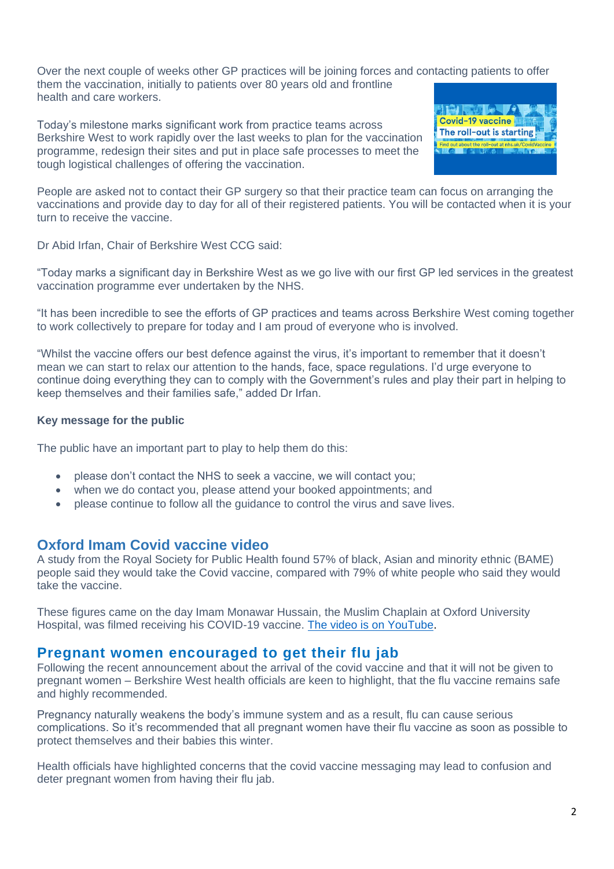Over the next couple of weeks other GP practices will be joining forces and contacting patients to offer them the vaccination, initially to patients over 80 years old and frontline health and care workers.

Today's milestone marks significant work from practice teams across Berkshire West to work rapidly over the last weeks to plan for the vaccination programme, redesign their sites and put in place safe processes to meet the tough logistical challenges of offering the vaccination.



People are asked not to contact their GP surgery so that their practice team can focus on arranging the vaccinations and provide day to day for all of their registered patients. You will be contacted when it is your turn to receive the vaccine.

Dr Abid Irfan, Chair of Berkshire West CCG said:

"Today marks a significant day in Berkshire West as we go live with our first GP led services in the greatest vaccination programme ever undertaken by the NHS.

"It has been incredible to see the efforts of GP practices and teams across Berkshire West coming together to work collectively to prepare for today and I am proud of everyone who is involved.

"Whilst the vaccine offers our best defence against the virus, it's important to remember that it doesn't mean we can start to relax our attention to the hands, face, space regulations. I'd urge everyone to continue doing everything they can to comply with the Government's rules and play their part in helping to keep themselves and their families safe," added Dr Irfan.

#### **Key message for the public**

The public have an important part to play to help them do this:

- please don't contact the NHS to seek a vaccine, we will contact you;
- when we do contact you, please attend your booked appointments; and
- please continue to follow all the guidance to control the virus and save lives.

#### **Oxford Imam Covid vaccine video**

A study from the Royal Society for Public Health found 57% of black, Asian and minority ethnic (BAME) people said they would take the Covid vaccine, compared with 79% of white people who said they would take the vaccine.

These figures came on the day Imam Monawar Hussain, the Muslim Chaplain at Oxford University Hospital, was filmed receiving his COVID-19 vaccine. [The video is on YouTube.](https://www.youtube.com/watch?v=oBOjS5yRBD0)

#### **Pregnant women encouraged to get their flu jab**

Following the recent announcement about the arrival of the covid vaccine and that it will not be given to pregnant women – Berkshire West health officials are keen to highlight, that the flu vaccine remains safe and highly recommended.

Pregnancy naturally weakens the body's immune system and as a result, flu can cause serious complications. So it's recommended that all pregnant women have their flu vaccine as soon as possible to protect themselves and their babies this winter.

Health officials have highlighted concerns that the covid vaccine messaging may lead to confusion and deter pregnant women from having their flu jab.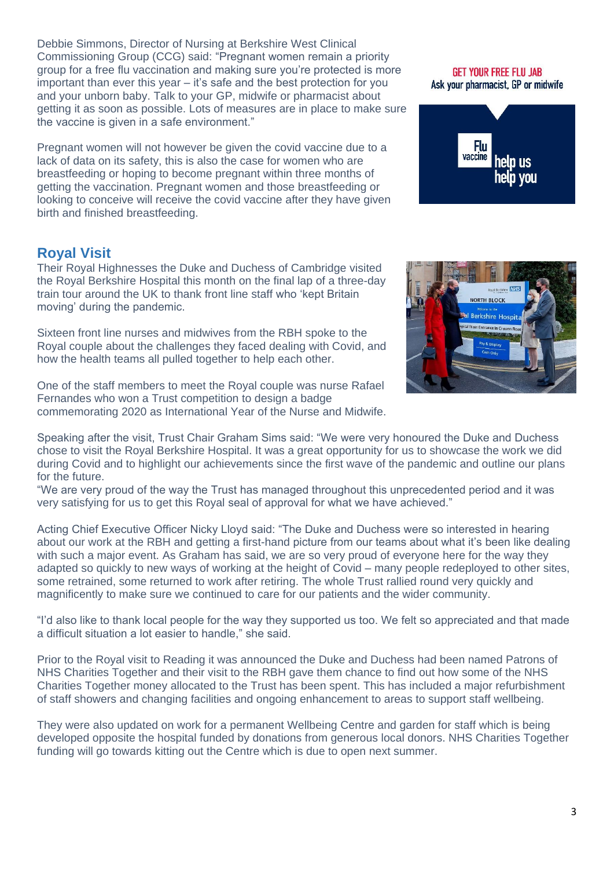Debbie Simmons, Director of Nursing at Berkshire West Clinical Commissioning Group (CCG) said: "Pregnant women remain a priority group for a free flu vaccination and making sure you're protected is more important than ever this year – it's safe and the best protection for you and your unborn baby. Talk to your GP, midwife or pharmacist about getting it as soon as possible. Lots of measures are in place to make sure the vaccine is given in a safe environment."

Pregnant women will not however be given the covid vaccine due to a lack of data on its safety, this is also the case for women who are breastfeeding or hoping to become pregnant within three months of getting the vaccination. Pregnant women and those breastfeeding or looking to conceive will receive the covid vaccine after they have given birth and finished breastfeeding.

#### **Royal Visit**

Their Royal Highnesses the Duke and Duchess of Cambridge visited the Royal Berkshire Hospital this month on the final lap of a three-day train tour around the UK to thank front line staff who 'kept Britain moving' during the pandemic.

Sixteen front line nurses and midwives from the RBH spoke to the Royal couple about the challenges they faced dealing with Covid, and how the health teams all pulled together to help each other.

One of the staff members to meet the Royal couple was nurse Rafael Fernandes who won a Trust competition to design a badge commemorating 2020 as International Year of the Nurse and Midwife.

Speaking after the visit, Trust Chair Graham Sims said: "We were very honoured the Duke and Duchess chose to visit the Royal Berkshire Hospital. It was a great opportunity for us to showcase the work we did during Covid and to highlight our achievements since the first wave of the pandemic and outline our plans for the future.

"We are very proud of the way the Trust has managed throughout this unprecedented period and it was very satisfying for us to get this Royal seal of approval for what we have achieved."

Acting Chief Executive Officer Nicky Lloyd said: "The Duke and Duchess were so interested in hearing about our work at the RBH and getting a first-hand picture from our teams about what it's been like dealing with such a major event. As Graham has said, we are so very proud of everyone here for the way they adapted so quickly to new ways of working at the height of Covid – many people redeployed to other sites, some retrained, some returned to work after retiring. The whole Trust rallied round very quickly and magnificently to make sure we continued to care for our patients and the wider community.

"I'd also like to thank local people for the way they supported us too. We felt so appreciated and that made a difficult situation a lot easier to handle," she said.

Prior to the Royal visit to Reading it was announced the Duke and Duchess had been named Patrons of NHS Charities Together and their visit to the RBH gave them chance to find out how some of the NHS Charities Together money allocated to the Trust has been spent. This has included a major refurbishment of staff showers and changing facilities and ongoing enhancement to areas to support staff wellbeing.

They were also updated on work for a permanent Wellbeing Centre and garden for staff which is being developed opposite the hospital funded by donations from generous local donors. NHS Charities Together funding will go towards kitting out the Centre which is due to open next summer.



#### **GET YOUR FREE FLU JAB** Ask your pharmacist. GP or midwife

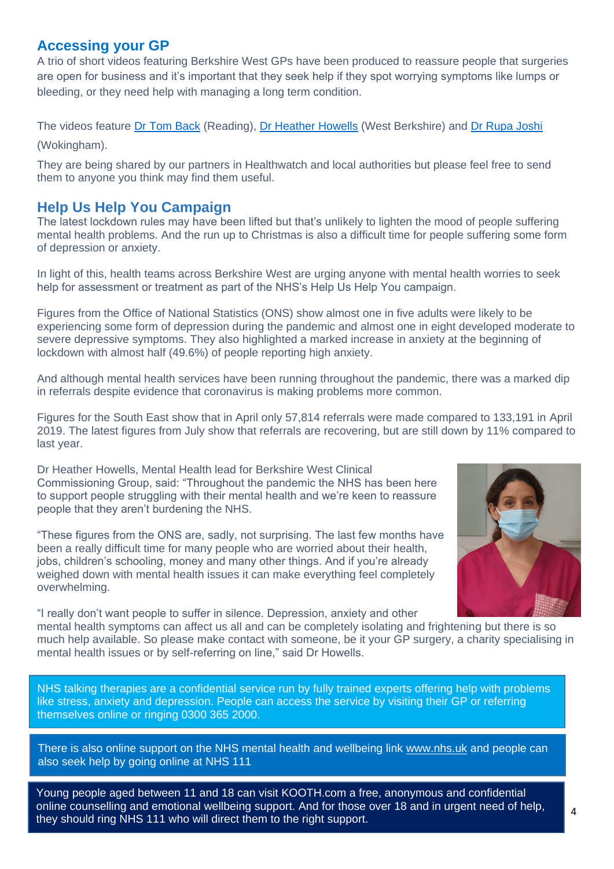#### **Accessing your GP**

A trio of short videos featuring Berkshire West GPs have been produced to reassure people that surgeries are open for business and it's important that they seek help if they spot worrying symptoms like lumps or bleeding, or they need help with managing a long term condition.

The videos feature [Dr Tom Back](https://youtu.be/VP3og5crZNY) (Reading), [Dr Heather Howells](https://youtu.be/QDLprkZCL60) (West Berkshire) and [Dr Rupa Joshi](https://youtu.be/y_EesadjBzQ) (Wokingham).

They are being shared by our partners in Healthwatch and local authorities but please feel free to send them to anyone you think may find them useful.

## **Help Us Help You Campaign**

The latest lockdown rules may have been lifted but that's unlikely to lighten the mood of people suffering mental health problems. And the run up to Christmas is also a difficult time for people suffering some form of depression or anxiety.

In light of this, health teams across Berkshire West are urging anyone with mental health worries to seek help for assessment or treatment as part of the NHS's Help Us Help You campaign.

Figures from the Office of National Statistics (ONS) show almost one in five adults were likely to be experiencing some form of depression during the pandemic and almost one in eight developed moderate to severe depressive symptoms. They also highlighted a marked increase in anxiety at the beginning of lockdown with almost half (49.6%) of people reporting high anxiety.

And although mental health services have been running throughout the pandemic, there was a marked dip in referrals despite evidence that coronavirus is making problems more common.

Figures for the South East show that in April only 57,814 referrals were made compared to 133,191 in April 2019. The latest figures from July show that referrals are recovering, but are still down by 11% compared to last year.

Dr Heather Howells, Mental Health lead for Berkshire West Clinical Commissioning Group, said: "Throughout the pandemic the NHS has been here to support people struggling with their mental health and we're keen to reassure people that they aren't burdening the NHS.

"These figures from the ONS are, sadly, not surprising. The last few months have been a really difficult time for many people who are worried about their health, jobs, children's schooling, money and many other things. And if you're already weighed down with mental health issues it can make everything feel completely overwhelming.



"I really don't want people to suffer in silence. Depression, anxiety and other mental health symptoms can affect us all and can be completely isolating and frightening but there is so much help available. So please make contact with someone, be it your GP surgery, a charity specialising in mental health issues or by self-referring on line," said Dr Howells.

NHS talking therapies are a confidential service run by fully trained experts offering help with problems like stress, anxiety and depression. People can access the service by visiting their GP or referring themselves online or ringing 0300 365 2000.

There is also online support on the NHS mental health and wellbeing link [www.nhs.uk](http://www.nhs.uk/) and people can also seek help by going online at NHS 111

Young people aged between 11 and 18 can visit KOOTH.com a free, anonymous and confidential online counselling and emotional wellbeing support. And for those over 18 and in urgent need of help, they should ring NHS 111 who will direct them to the right support.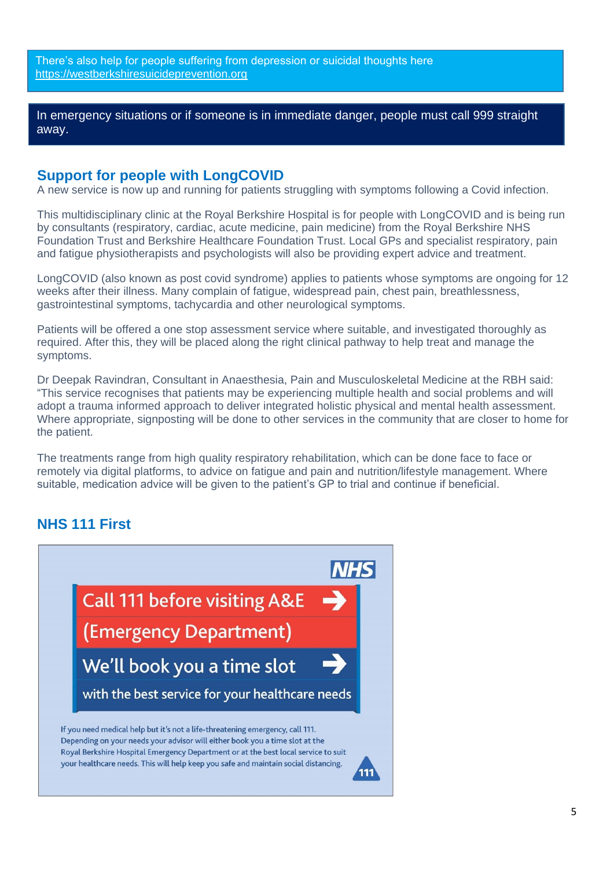There's also help for people suffering from depression or suicidal thoughts here [https://westberkshiresuicideprevention.org](https://eu-west-1.protection.sophos.com/?d=westberkshiresuicideprevention.org&u=aHR0cHM6Ly93ZXN0YmVya3NoaXJlc3VpY2lkZXByZXZlbnRpb24ub3Jn&i=NWE2ZWY0ZDE5MGM3OGQxNzlkNzYwZjFj&t=VUpzQXFyYnFMd3BjbFVUOXE0UkRpUy9aRWFqWmdWc21lREVrYTB6SGg5az0=&h=5905057687d940ffaa3c023d6bcb319d)

In emergency situations or if someone is in immediate danger, people must call 999 straight away.

#### **Support for people with LongCOVID**

A new service is now up and running for patients struggling with symptoms following a Covid infection.

This multidisciplinary clinic at the Royal Berkshire Hospital is for people with LongCOVID and is being run by consultants (respiratory, cardiac, acute medicine, pain medicine) from the Royal Berkshire NHS Foundation Trust and Berkshire Healthcare Foundation Trust. Local GPs and specialist respiratory, pain and fatigue physiotherapists and psychologists will also be providing expert advice and treatment.

LongCOVID (also known as post covid syndrome) applies to patients whose symptoms are ongoing for 12 weeks after their illness. Many complain of fatigue, widespread pain, chest pain, breathlessness, gastrointestinal symptoms, tachycardia and other neurological symptoms.

Patients will be offered a one stop assessment service where suitable, and investigated thoroughly as required. After this, they will be placed along the right clinical pathway to help treat and manage the symptoms.

Dr Deepak Ravindran, Consultant in Anaesthesia, Pain and Musculoskeletal Medicine at the RBH said: "This service recognises that patients may be experiencing multiple health and social problems and will adopt a trauma informed approach to deliver integrated holistic physical and mental health assessment. Where appropriate, signposting will be done to other services in the community that are closer to home for the patient.

The treatments range from high quality respiratory rehabilitation, which can be done face to face or remotely via digital platforms, to advice on fatigue and pain and nutrition/lifestyle management. Where suitable, medication advice will be given to the patient's GP to trial and continue if beneficial.

#### **NHS 111 First**